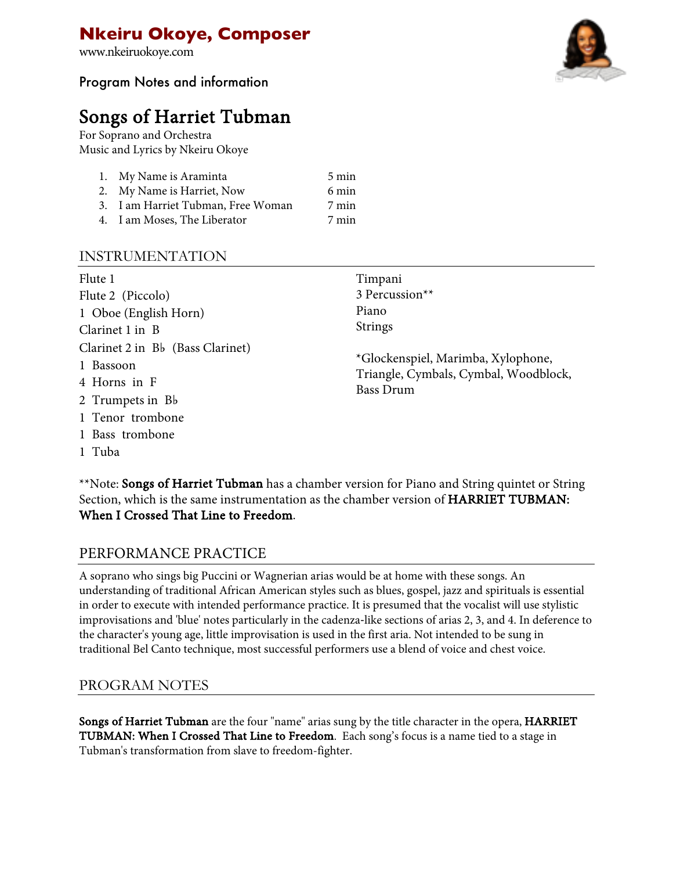www.nkeiruokoye.com

## Program Notes and information

# Songs of Harriet Tubman<br>For Soprano and Orchestra

Music and Lyrics by Nkeiru Okoye

| 1. My Name is Araminta             | 5 min |
|------------------------------------|-------|
| 2. My Name is Harriet, Now         | 6 min |
| 3. I am Harriet Tubman, Free Woman | 7 min |
| 4. I am Moses, The Liberator       | 7 min |

## INSTRUMENTATION

| Flute 1<br>Flute 2 (Piccolo)<br>1 Oboe (English Horn)<br>Clarinet 1 in B          | Timpani<br>3 Percussion**<br>Piano<br><b>Strings</b>                                            |
|-----------------------------------------------------------------------------------|-------------------------------------------------------------------------------------------------|
| Clarinet 2 in Bb (Bass Clarinet)<br>1 Bassoon<br>4 Horns in F<br>2 Trumpets in Bb | *Glockenspiel, Marimba, Xylophone,<br>Triangle, Cymbals, Cymbal, Woodblock,<br><b>Bass Drum</b> |
| 1 Tenor trombone                                                                  |                                                                                                 |
| 1 Bass trombone                                                                   |                                                                                                 |
| 1 Tuba                                                                            |                                                                                                 |

\*\*Note: Songs of Harriet Tubman has a chamber version for Piano and String quintet or String Section, which is the same instrumentation as the chamber version of HARRIET TUBMAN: When I Crossed That Line to Freedom.

## PERFORMANCE PRACTICE

A soprano who sings big Puccini or Wagnerian arias would be at home with these songs. An understanding of traditional African American styles such as blues, gospel, jazz and spirituals is essential in order to execute with intended performance practice. It is presumed that the vocalist will use stylistic improvisations and 'blue' notes particularly in the cadenza-like sections of arias 2, 3, and 4. In deference to the character's young age, little improvisation is used in the first aria. Not intended to be sung in traditional Bel Canto technique, most successful performers use a blend of voice and chest voice.

## PROGRAM NOTES

Songs of Harriet Tubman are the four "name" arias sung by the title character in the opera, HARRIET TUBMAN: When I Crossed That Line to Freedom. Each song's focus is a name tied to a stage in Tubman's transformation from slave to freedom-fighter.

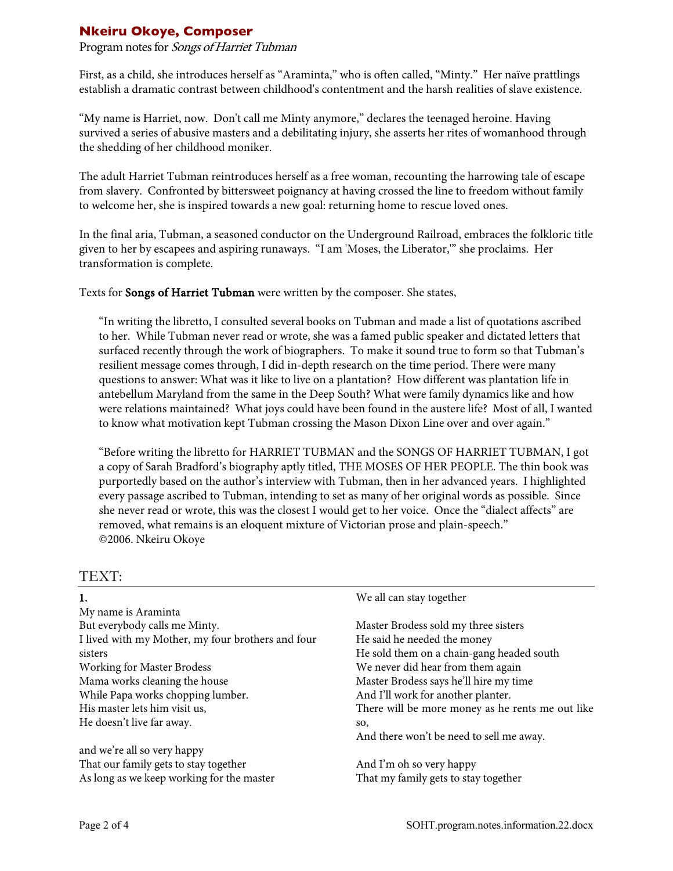#### Program notes for Songs of Harriet Tubman

First, as a child, she introduces herself as "Araminta," who is often called, "Minty." Her naïve prattlings establish a dramatic contrast between childhood's contentment and the harsh realities of slave existence.

"My name is Harriet, now. Don't call me Minty anymore," declares the teenaged heroine. Having survived a series of abusive masters and a debilitating injury, she asserts her rites of womanhood through the shedding of her childhood moniker.

The adult Harriet Tubman reintroduces herself as a free woman, recounting the harrowing tale of escape from slavery. Confronted by bittersweet poignancy at having crossed the line to freedom without family to welcome her, she is inspired towards a new goal: returning home to rescue loved ones.

In the final aria, Tubman, a seasoned conductor on the Underground Railroad, embraces the folkloric title given to her by escapees and aspiring runaways. "I am 'Moses, the Liberator,'" she proclaims. Her transformation is complete.

Texts for Songs of Harriet Tubman were written by the composer. She states,

"In writing the libretto, I consulted several books on Tubman and made a list of quotations ascribed to her. While Tubman never read or wrote, she was a famed public speaker and dictated letters that surfaced recently through the work of biographers. To make it sound true to form so that Tubman's resilient message comes through, I did in-depth research on the time period. There were many questions to answer: What was it like to live on a plantation? How different was plantation life in antebellum Maryland from the same in the Deep South? What were family dynamics like and how were relations maintained? What joys could have been found in the austere life? Most of all, I wanted to know what motivation kept Tubman crossing the Mason Dixon Line over and over again."

"Before writing the libretto for HARRIET TUBMAN and the SONGS OF HARRIET TUBMAN, I got a copy of Sarah Bradford's biography aptly titled, THE MOSES OF HER PEOPLE. The thin book was purportedly based on the author's interview with Tubman, then in her advanced years. I highlighted every passage ascribed to Tubman, intending to set as many of her original words as possible. Since she never read or wrote, this was the closest I would get to her voice. Once the "dialect affects" are removed, what remains is an eloquent mixture of Victorian prose and plain-speech." ©2006. Nkeiru Okoye

#### TEXT:

| 1.                                                | We all can stay together                         |
|---------------------------------------------------|--------------------------------------------------|
| My name is Araminta                               |                                                  |
| But everybody calls me Minty.                     | Master Brodess sold my three sisters             |
| I lived with my Mother, my four brothers and four | He said he needed the money                      |
| sisters                                           | He sold them on a chain-gang headed south        |
| <b>Working for Master Brodess</b>                 | We never did hear from them again                |
| Mama works cleaning the house                     | Master Brodess says he'll hire my time           |
| While Papa works chopping lumber.                 | And I'll work for another planter.               |
| His master lets him visit us,                     | There will be more money as he rents me out like |
| He doesn't live far away.                         | SO,                                              |
|                                                   | And there won't be need to sell me away.         |
| and we're all so very happy                       |                                                  |
| That our family gets to stay together             | And I'm oh so very happy                         |
| As long as we keep working for the master         | That my family gets to stay together             |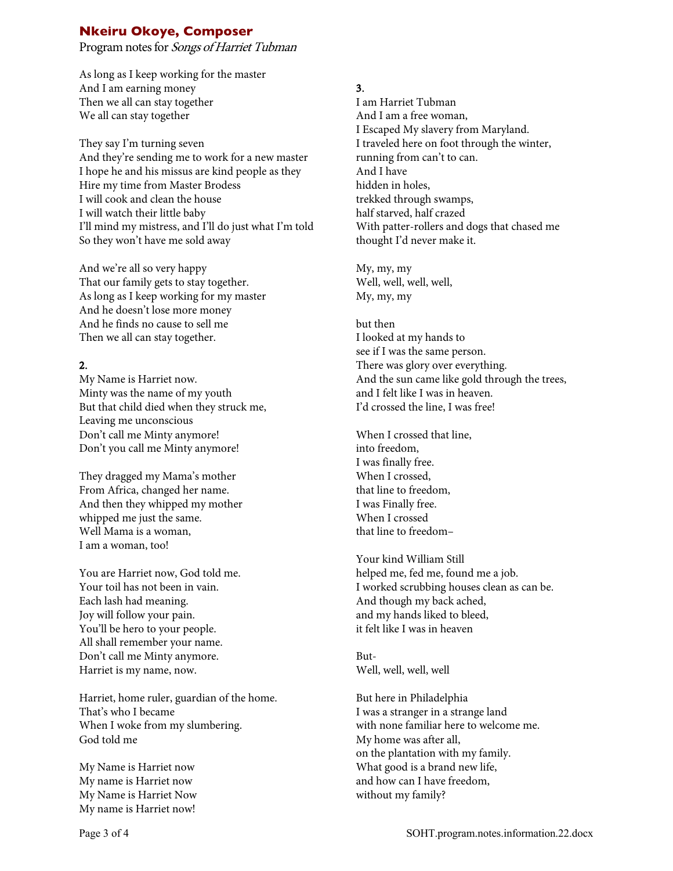Program notes for Songs of Harriet Tubman

As long as I keep working for the master And I am earning money Then we all can stay together We all can stay together

They say I'm turning seven And they're sending me to work for a new master I hope he and his missus are kind people as they Hire my time from Master Brodess I will cook and clean the house I will watch their little baby I'll mind my mistress, and I'll do just what I'm told So they won't have me sold away

And we're all so very happy That our family gets to stay together. As long as I keep working for my master And he doesn't lose more money And he finds no cause to sell me Then we all can stay together.

#### 2.

My Name is Harriet now. Minty was the name of my youth But that child died when they struck me, Leaving me unconscious Don't call me Minty anymore! Don't you call me Minty anymore!

They dragged my Mama's mother From Africa, changed her name. And then they whipped my mother whipped me just the same. Well Mama is a woman, I am a woman, too!

You are Harriet now, God told me. Your toil has not been in vain. Each lash had meaning. Joy will follow your pain. You'll be hero to your people. All shall remember your name. Don't call me Minty anymore. Harriet is my name, now.

Harriet, home ruler, guardian of the home. That's who I became When I woke from my slumbering. God told me

My Name is Harriet now My name is Harriet now My Name is Harriet Now My name is Harriet now!

#### 3.

I am Harriet Tubman And I am a free woman, I Escaped My slavery from Maryland. I traveled here on foot through the winter, running from can't to can. And I have hidden in holes, trekked through swamps, half starved, half crazed With patter-rollers and dogs that chased me thought I'd never make it.

My, my, my Well, well, well, well, My, my, my

but then I looked at my hands to see if I was the same person. There was glory over everything. And the sun came like gold through the trees, and I felt like I was in heaven. I'd crossed the line, I was free!

When I crossed that line, into freedom, I was finally free. When I crossed, that line to freedom, I was Finally free. When I crossed that line to freedom–

Your kind William Still helped me, fed me, found me a job. I worked scrubbing houses clean as can be. And though my back ached, and my hands liked to bleed, it felt like I was in heaven

But-Well, well, well, well

But here in Philadelphia I was a stranger in a strange land with none familiar here to welcome me. My home was after all, on the plantation with my family. What good is a brand new life, and how can I have freedom, without my family?